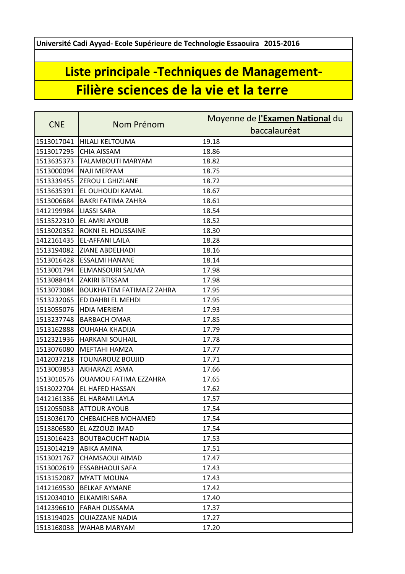**Université Cadi Ayyad- Ecole Supérieure de Technologie Essaouira 2015-2016**

## **Liste principale -Techniques de Management-Filière sciences de la vie et la terre**

| <b>CNE</b> | Nom Prénom                      | Moyenne de l'Examen National du |
|------------|---------------------------------|---------------------------------|
|            |                                 | baccalauréat                    |
| 1513017041 | <b>HILALI KELTOUMA</b>          | 19.18                           |
| 1513017295 | <b>CHIA AISSAM</b>              | 18.86                           |
| 1513635373 | <b>TALAMBOUTI MARYAM</b>        | 18.82                           |
| 1513000094 | <b>NAJI MERYAM</b>              | 18.75                           |
| 1513339455 | <b>ZEROU L GHIZLANE</b>         | 18.72                           |
| 1513635391 | <b>EL OUHOUDI KAMAL</b>         | 18.67                           |
| 1513006684 | <b>BAKRI FATIMA ZAHRA</b>       | 18.61                           |
| 1412199984 | <b>LIASSI SARA</b>              | 18.54                           |
| 1513522310 | <b>EL AMRI AYOUB</b>            | 18.52                           |
| 1513020352 | <b>ROKNI EL HOUSSAINE</b>       | 18.30                           |
| 1412161435 | <b>EL-AFFANI LAILA</b>          | 18.28                           |
|            | 1513194082 ZIANE ABDELHADI      | 18.16                           |
| 1513016428 | <b>ESSALMI HANANE</b>           | 18.14                           |
| 1513001794 | <b>ELMANSOURI SALMA</b>         | 17.98                           |
| 1513088414 | <b>ZAKIRI BTISSAM</b>           | 17.98                           |
| 1513073084 | <b>BOUKHATEM FATIMAEZ ZAHRA</b> | 17.95                           |
| 1513232065 | <b>ED DAHBI EL MEHDI</b>        | 17.95                           |
| 1513055076 | <b>HDIA MERIEM</b>              | 17.93                           |
| 1513237748 | <b>BARBACH OMAR</b>             | 17.85                           |
| 1513162888 | <b>OUHAHA KHADIJA</b>           | 17.79                           |
| 1512321936 | <b>HARKANI SOUHAIL</b>          | 17.78                           |
| 1513076080 | <b>MEFTAHI HAMZA</b>            | 17.77                           |
| 1412037218 | <b>TOUNAROUZ BOUJID</b>         | 17.71                           |
| 1513003853 | <b>AKHARAZE ASMA</b>            | 17.66                           |
| 1513010576 | <b>OUAMOU FATIMA EZZAHRA</b>    | 17.65                           |
| 1513022704 | <b>EL HAFED HASSAN</b>          | 17.62                           |
| 1412161336 | <b>EL HARAMI LAYLA</b>          | 17.57                           |
|            | 1512055038 ATTOUR AYOUB         | 17.54                           |
|            | 1513036170 CHEBAICHEB MOHAMED   | 17.54                           |
| 1513806580 | EL AZZOUZI IMAD                 | 17.54                           |
| 1513016423 | <b>BOUTBAOUCHT NADIA</b>        | 17.53                           |
| 1513014219 | <b>ABIKA AMINA</b>              | 17.51                           |
| 1513021767 | CHAMSAOUI AIMAD                 | 17.47                           |
| 1513002619 | <b>ESSABHAOUI SAFA</b>          | 17.43                           |
| 1513152087 | <b>MYATT MOUNA</b>              | 17.43                           |
| 1412169530 | <b>BELKAF AYMANE</b>            | 17.42                           |
| 1512034010 | <b>ELKAMIRI SARA</b>            | 17.40                           |
| 1412396610 | <b>FARAH OUSSAMA</b>            | 17.37                           |
| 1513194025 | <b>OUIAZZANE NADIA</b>          | 17.27                           |
| 1513168038 | WAHAB MARYAM                    | 17.20                           |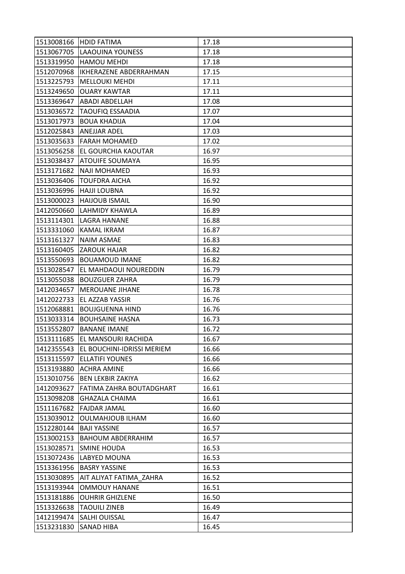|            | 1513008166 HDID FATIMA                | 17.18 |
|------------|---------------------------------------|-------|
|            | 1513067705 LAAOUINA YOUNESS           | 17.18 |
| 1513319950 | <b>HAMOU MEHDI</b>                    | 17.18 |
| 1512070968 | IKHERAZENE ABDERRAHMAN                | 17.15 |
| 1513225793 | <b>MELLOUKI MEHDI</b>                 | 17.11 |
| 1513249650 | <b>OUARY KAWTAR</b>                   | 17.11 |
| 1513369647 | <b>ABADI ABDELLAH</b>                 | 17.08 |
| 1513036572 | <b>TAOUFIQ ESSAADIA</b>               | 17.07 |
| 1513017973 | <b>BOUA KHADIJA</b>                   | 17.04 |
| 1512025843 | <b>ANEJJAR ADEL</b>                   | 17.03 |
| 1513035633 | <b>FARAH MOHAMED</b>                  | 17.02 |
| 1513056258 | <b>EL GOURCHIA KAOUTAR</b>            | 16.97 |
| 1513038437 | <b>ATOUIFE SOUMAYA</b>                | 16.95 |
| 1513171682 | <b>NAJI MOHAMED</b>                   | 16.93 |
| 1513036406 | <b>TOUFDRA AICHA</b>                  | 16.92 |
|            | 1513036996 HAJJI LOUBNA               | 16.92 |
| 1513000023 | <b>HAIJOUB ISMAIL</b>                 | 16.90 |
| 1412050660 | <b>LAHMIDY KHAWLA</b>                 | 16.89 |
| 1513114301 | LAGRA HANANE                          | 16.88 |
| 1513331060 | <b>KAMAL IKRAM</b>                    | 16.87 |
| 1513161327 | <b>NAIM ASMAE</b>                     | 16.83 |
| 1513160405 | <b>ZAROUK HAJAR</b>                   | 16.82 |
| 1513550693 | <b>BOUAMOUD IMANE</b>                 | 16.82 |
| 1513028547 | EL MAHDAOUI NOUREDDIN                 | 16.79 |
| 1513055038 | <b>BOUZGUER ZAHRA</b>                 | 16.79 |
| 1412034657 | <b>MEROUANE JIHANE</b>                | 16.78 |
| 1412022733 | EL AZZAB YASSIR                       | 16.76 |
| 1512068881 | <b>BOUJGUENNA HIND</b>                | 16.76 |
| 1513033314 | <b>BOUHSAINE HASNA</b>                | 16.73 |
| 1513552807 | <b>BANANE IMANE</b>                   | 16.72 |
| 1513111685 | EL MANSOURI RACHIDA                   | 16.67 |
|            | 1412355543 EL BOUCHINI-IDRISSI MERIEM | 16.66 |
| 1513115597 | <b>ELLATIFI YOUNES</b>                | 16.66 |
| 1513193880 | <b>ACHRA AMINE</b>                    | 16.66 |
| 1513010756 | <b>BEN LEKBIR ZAKIYA</b>              | 16.62 |
| 1412093627 | FATIMA ZAHRA BOUTADGHART              | 16.61 |
| 1513098208 | <b>GHAZALA CHAIMA</b>                 | 16.61 |
| 1511167682 | <b>FAJDAR JAMAL</b>                   | 16.60 |
| 1513039012 | OULMAHJOUB ILHAM                      | 16.60 |
| 1512280144 | <b>BAJI YASSINE</b>                   | 16.57 |
| 1513002153 | <b>BAHOUM ABDERRAHIM</b>              | 16.57 |
| 1513028571 | <b>SMINE HOUDA</b>                    | 16.53 |
|            | 1513072436   LABYED MOUNA             | 16.53 |
| 1513361956 | <b>BASRY YASSINE</b>                  | 16.53 |
| 1513030895 | AIT ALIYAT FATIMA ZAHRA               | 16.52 |
| 1513193944 | <b>OMMOUY HANANE</b>                  | 16.51 |
| 1513181886 | <b>OUHRIR GHIZLENE</b>                | 16.50 |
| 1513326638 | <b>TAOUILI ZINEB</b>                  | 16.49 |
| 1412199474 | <b>SALHI OUISSAL</b>                  | 16.47 |
| 1513231830 | <b>SANAD HIBA</b>                     | 16.45 |